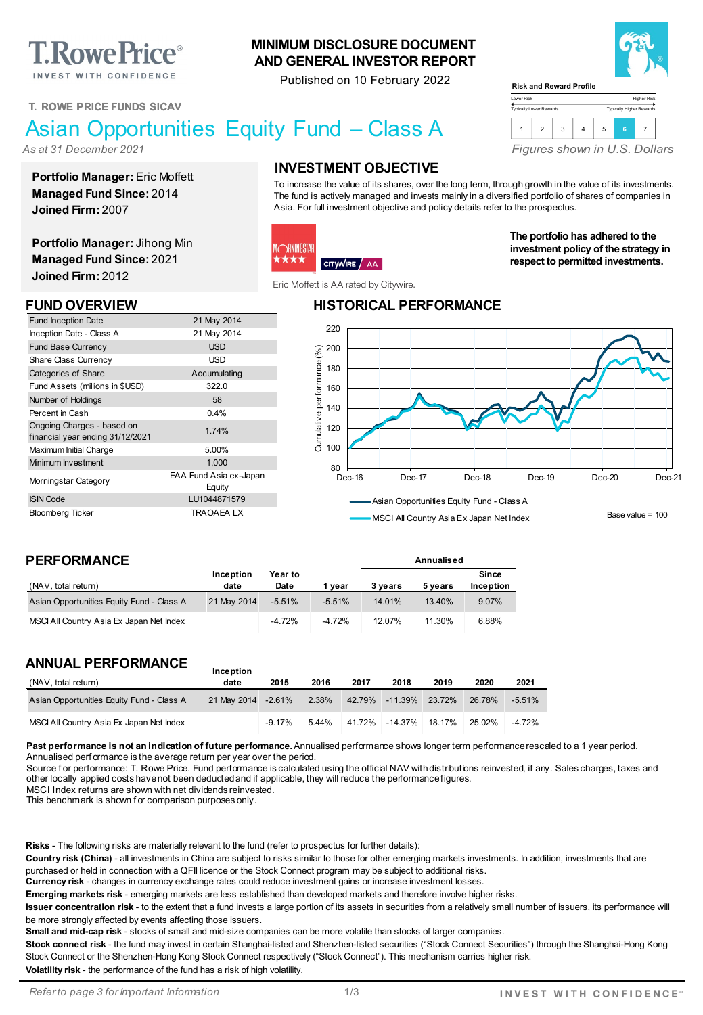**T. Rowe Price**® INVEST WITH CONFIDENCE

### **T. ROWE PRICE FUNDS SICAV**

# Asian Opportunities Equity Fund – Class A

*As at 31 December 2021*

**Portfolio Manager:** Eric Moffett **Managed Fund Since:** 2014 **Joined Firm:** 2007

**Portfolio Manager:** Jihong Min **Managed Fund Since:** 2021 **Joined Firm:** 2012

Fund Inception Date 21 May 2014 Inception Date - Class A 21 May 2014 Fund Base Currency **Example 20 SO EXAMPLE 2018** Share Class Currency **Share Class Currency USD** Categories of Share Accumulating Fund Assets (millions in \$USD) 322.0 Number of Holdings **58** Percent in Cash 0.4%

In understanding Unarges - based on<br>
financial year ending 31/12/2021 Maximum Initial Charge 5.00% Minimum Investment 1,000 Morningstar Category EAA Fund Asia ex-Japan

ISIN Code LU1044871579 Bloomberg Ticker TRAOAEA LX

# **INVESTMENT OBJECTIVE**

**MINIMUM DISCLOSURE DOCUMENT AND GENERAL INVESTOR REPORT** Published on 10 February 2022

To increase the value of its shares, over the long term, through growth in the value of its investments. The fund is actively managed and invests mainly in a diversified portfolio of shares of companies in Asia. For full investment objective and policy details refer to the prospectus.

Lower Risk Typically Lower Rewards

**Risk and Reward Profile**

### **DRNINGSTAF** ★★★ CITYWIRE / AA

Eric Moffett is AA rated by Citywire.

### **FUND OVERVIEW HISTORICAL PERFORMANCE**



MSCI All Country Asia Ex Japan Net Index

**Annualised**

Base value = 100

### **PERFORMANCE**

Ongoing Charges - based on

| (NAV, total return)                       | <b>Inception</b><br>date | Year to<br>Date | vear     | 3 vears | 5 vears | Since<br>Inception |
|-------------------------------------------|--------------------------|-----------------|----------|---------|---------|--------------------|
| Asian Opportunities Equity Fund - Class A | 21 May 2014              | $-5.51\%$       | $-5.51%$ | 14.01%  | 13.40%  | 9.07%              |
| MSCI All Country Asia Ex Japan Net Index  |                          | $-4.72%$        | $-4.72%$ | 12.07%  | 11.30%  | 6.88%              |

**Equity** 

### **ANNUAL PERFORMANCE**

| (NAV, total return)                       | date                | 2015     | 2016  | 2017   | 2018                  | 2019   | 2020   | 2021     |
|-------------------------------------------|---------------------|----------|-------|--------|-----------------------|--------|--------|----------|
| Asian Opportunities Equity Fund - Class A | 21 May 2014 - 2.61% |          | 2.38% |        | 42.79% -11.39% 23.72% |        | 26.78% | $-5.51%$ |
| MSCI All Country Asia Ex Japan Net Index  |                     | $-9.17%$ | 5.44% | 41.72% | -14.37%               | 18.17% | 25.02% | $-4.72%$ |

Past performance is not an indication of future performance. Annualised performance shows longer term performance rescaled to a 1 year period. Annualised perf ormance is the average return per year over the period.

Source for performance: T. Rowe Price. Fund performance is calculated using the official NAV with distributions reinvested, if any. Sales charges, taxes and other locally applied costs have not been deducted and if applicable, they will reduce the performance figures.

MSCI Index returns are shown with net dividends reinvested.

This benchmark is shown f or comparison purposes only.

**Risks** - The following risks are materially relevant to the fund (refer to prospectus for further details):

**Inception** 

**Country risk (China)** - all investments in China are subject to risks similar to those for other emerging markets investments. In addition, investments that are purchased or held in connection with a QFII licence or the Stock Connect program may be subject to additional risks.

**Currency risk** - changes in currency exchange rates could reduce investment gains or increase investment losses.

**Emerging markets risk** - emerging markets are less established than developed markets and therefore involve higher risks.

**Issuer concentration risk** - to the extent that a fund invests a large portion of its assets in securities from a relatively small number of issuers, its performance will be more strongly affected by events affecting those issuers.

**Small and mid-cap risk** - stocks of small and mid-size companies can be more volatile than stocks of larger companies.

**Stock connect risk** - the fund may invest in certain Shanghai-listed and Shenzhen-listed securities ("Stock Connect Securities") through the Shanghai-Hong Kong Stock Connect or the Shenzhen-Hong Kong Stock Connect respectively ("Stock Connect"). This mechanism carries higher risk. **Volatility risk** - the performance of the fund has a risk of high volatility.

*Refer to page 3 for Important Information*



Higher Risk Typically Higher Rewards

*Figures shown in U.S. Dollars*

1 2 3 4 5 **<sup>6</sup>** <sup>7</sup>

**The portfolio has adhered to the investment policy of the strategy in respect to permitted investments.**

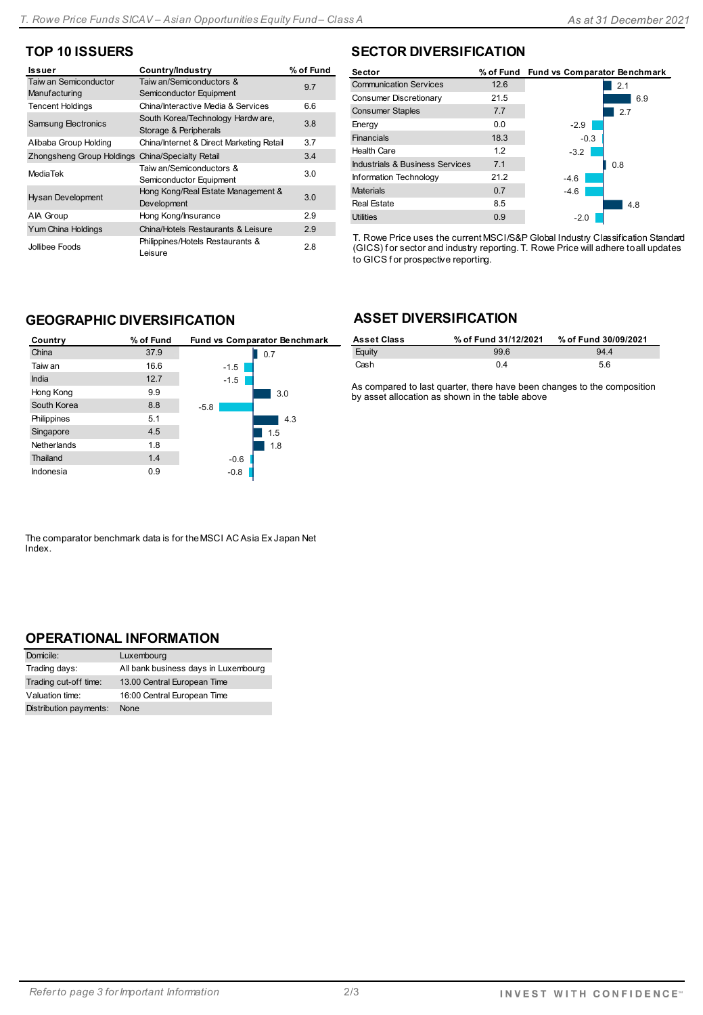# **TOP 10 ISSUERS**

| Issuer                                 | Country/Industry                                           | % of Fund |
|----------------------------------------|------------------------------------------------------------|-----------|
| Taiw an Semiconductor<br>Manufacturing | Taiw an/Semiconductors &<br>Semiconductor Equipment        | 9.7       |
| <b>Tencent Holdings</b>                | China/Interactive Media & Services                         | 6.6       |
| Samsung Electronics                    | South Korea/Technology Hardw are,<br>Storage & Peripherals | 3.8       |
| Alibaba Group Holding                  | China/Internet & Direct Marketing Retail                   | 3.7       |
| <b>Zhongsheng Group Holdings</b>       | China/Specialty Retail                                     | 3.4       |
| MediaTek                               | Taiw an/Semiconductors &<br>Semiconductor Equipment        | 3.0       |
| <b>Hysan Development</b>               | Hong Kong/Real Estate Management &<br>Development          | 3.0       |
| AIA Group                              | Hong Kong/Insurance                                        | 2.9       |
| Yum China Holdings                     | China/Hotels Restaurants & Leisure                         | 2.9       |
| Jollibee Foods                         | Philippines/Hotels Restaurants &<br>Leisure                | 28        |

# **SECTOR DIVERSIFICATION**

| 6.9 |
|-----|
|     |
|     |
|     |
|     |
|     |
|     |
|     |
|     |
|     |
|     |

T. Rowe Price uses the current MSCI/S&P Global Industry Classification Standard (GICS) f or sector and industry reporting. T. Rowe Price will adhere to all updates to GICS f or prospective reporting.

# **GEOGRAPHIC DIVERSIFICATION**

| Country     | % of Fund | Fund vs Comparator Benchmark |
|-------------|-----------|------------------------------|
| China       | 37.9      | 0.7                          |
| Taiw an     | 16.6      | $-1.5$                       |
| India       | 12.7      | $-1.5$                       |
| Hong Kong   | 9.9       | 3.0                          |
| South Korea | 8.8       | $-5.8$                       |
| Philippines | 5.1       | 4.3                          |
| Singapore   | 4.5       | 1.5                          |
| Netherlands | 1.8       | 1.8                          |
| Thailand    | 1.4       | $-0.6$                       |
| Indonesia   | 0.9       | $-0.8$                       |

# **ASSET DIVERSIFICATION**

| <b>Asset Class</b> | % of Fund 31/12/2021 | % of Fund 30/09/2021 |
|--------------------|----------------------|----------------------|
| Equity             | 99.6                 | 944                  |
| Cash               | 0 <sup>4</sup>       | 5.6                  |

As compared to last quarter, there have been changes to the composition by asset allocation as shown in the table above

The comparator benchmark data is for the MSCI AC Asia Ex Japan Net Index.

### **OPERATIONAL INFORMATION**

| Domicile:              | Luxembourg                           |
|------------------------|--------------------------------------|
| Trading days:          | All bank business days in Luxembourg |
| Trading cut-off time:  | 13.00 Central European Time          |
| Valuation time:        | 16:00 Central European Time          |
| Distribution payments: | None                                 |